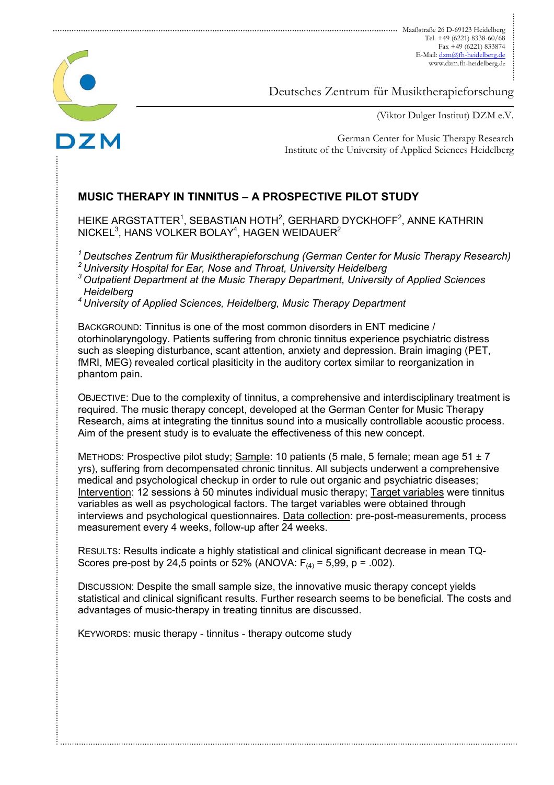

Deutsches Zentrum für Musiktherapieforschung

(Viktor Dulger Institut) DZM e.V.

German Center for Music Therapy Research Institute of the University of Applied Sciences Heidelberg

# **MUSIC THERAPY IN TINNITUS – A PROSPECTIVE PILOT STUDY**

HEIKE ARGSTATTER $^1$ , SEBASTIAN HOTH $^2$ , GERHARD DYCKHOFF $^2$ , ANNE KATHRIN NICKEL $^3$ , HANS VOLKER BOLAY $^4$ , HAGEN WEIDAUER $^2$ 

*1 Deutsches Zentrum für Musiktherapieforschung (German Center for Music Therapy Research)* 

*2 University Hospital for Ear, Nose and Throat, University Heidelberg* 

*3 Outpatient Department at the Music Therapy Department, University of Applied Sciences Heidelberg* 

*4 University of Applied Sciences, Heidelberg, Music Therapy Department* 

BACKGROUND: Tinnitus is one of the most common disorders in ENT medicine / otorhinolaryngology. Patients suffering from chronic tinnitus experience psychiatric distress such as sleeping disturbance, scant attention, anxiety and depression. Brain imaging (PET, fMRI, MEG) revealed cortical plasiticity in the auditory cortex similar to reorganization in phantom pain.

OBJECTIVE: Due to the complexity of tinnitus, a comprehensive and interdisciplinary treatment is required. The music therapy concept, developed at the German Center for Music Therapy Research, aims at integrating the tinnitus sound into a musically controllable acoustic process. Aim of the present study is to evaluate the effectiveness of this new concept.

METHODS: Prospective pilot study; Sample: 10 patients (5 male, 5 female; mean age  $51 \pm 7$ yrs), suffering from decompensated chronic tinnitus. All subjects underwent a comprehensive medical and psychological checkup in order to rule out organic and psychiatric diseases; Intervention: 12 sessions à 50 minutes individual music therapy; Target variables were tinnitus variables as well as psychological factors. The target variables were obtained through interviews and psychological questionnaires. Data collection: pre-post-measurements, process measurement every 4 weeks, follow-up after 24 weeks.

RESULTS: Results indicate a highly statistical and clinical significant decrease in mean TQ-Scores pre-post by 24,5 points or 52% (ANOVA:  $F_{(4)} = 5,99$ , p = .002).

DISCUSSION: Despite the small sample size, the innovative music therapy concept yields statistical and clinical significant results. Further research seems to be beneficial. The costs and advantages of music-therapy in treating tinnitus are discussed.

KEYWORDS: music therapy - tinnitus - therapy outcome study